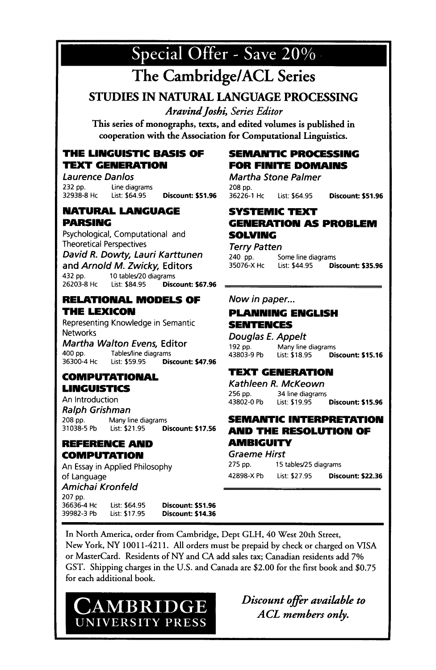

## **The Cambridge/ACL Series**

STUDIES IN NATURAL LANGUAGE PROCESSING

*Aravind Joshi, Series Editor* 

This series of monographs, texts, and edited volumes is published in cooperation with the Association for Computational Linguistics.

#### **THE LINGUISTIC BASIS OF TEXT GENERATION**

*Laurence Danlos*  232 pp. Line diagrams<br>32938-8 Hc List: \$64.95 **Discount: \$51.96** 

#### **NATURAL LANGUAGE PARSING**

*Psychological,* Computational and *Theoretical Perspectives* 

*David R. Dowty, Lauri Karttunen*  and *Arnold M. Zwicky,* Editors 432 pp. 10 tables/20 diagrams<br>26203-8 Hc List: \$84.95 **Disc** 26203-8 HC List: \$84.95 Discount: \$67.96

#### **RELATIONAL MODELS OF THE LEXICON**

Representing Knowledge in Semantic Networks

*Martha Walton Evens,* Editor<br>400 pp. Tables/line diagrams Tables/line diagrams<br>List: \$59.95 Dis 36300-4 Hc List: \$59.95 Discount: \$47.96

#### **COMPUTATIONAL LINGUISTICS**

An Introduction *Ralph Grishman*  208 pp. Many line diagrams<br>31038-5 Pb List: \$21.95 List: \$21.95 Discount: \$17.56

#### **REFERENCE AND COMPUTATION**

An Essay in Applied Philosophy of Language *Amichai Kronfeld*  207 pp.<br>36636-4 Hc 36636-4 Hc List: \$64.95 Discount: \$51.96 List: \$17.95 Discount: \$14.36

#### **SEMANTIC PROCESSING FOR FINITE DOMAINS**

*Martha Stone Palmer*  208 pp.<br>36226-1 Hc List: \$64.95 Discount: \$51.96

#### **SYSTEMIC TEXT GENERATION AS PROBLEM SOLVING**

*Terry Patten*  240 pp. Some line diagrams 35076-X Hc List: \$44.95 Discount: \$35.96

#### *Now in paper...*

#### **PLANNING ENGLISH SENTENCES**

*Douglas E. Appelt*  192 pp. Many line diagrams<br>43803-9 Pb List: \$18.95 Dist List: \$18.95 Discount: \$15.16

#### **TEXT GENERATION**

*Kathleen R. McKeown*  256 pp. 34 line diagrams 43802-0 Pb List: \$19.95 Discount: \$15.96

#### **SEMANTIC INTERPRETATION AND THE RESOLUTION OF AMBIGUITY**

*Graeme Hirst*  275 pp. 15 tables/25 diagrams 42898-X Pb List: \$27.95 Discount: \$22.36

In North America, order from Cambridge, Dept GLH, 40 West 20th Street, New York, NY 10011-4211. All orders must be prepaid by check or charged on VISA or MasterCard. Residents of NY and CA add sales tax; Canadian residents add 7% GST. Shipping charges in the U.S. and Canada are \$2.00 for the first book and \$0.75 for each additional book.



*Discount offer available to A CL members only.*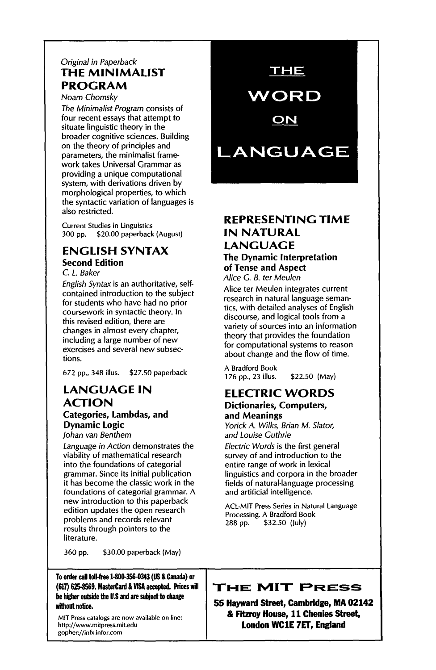#### *Original in Paperback*  **THE MINIMALIST PROGRAM**

Noam *Chomslq/* 

*The Minimalist Program* consists of four recent essays that attempt to situate linguistic theory in the broader cognitive sciences. Building on the theory of principles and parameters, the minimalist framework takes Universal Grammar as providing a unique computational system, with derivations driven by morphological properties, to which the syntactic variation of languages is also restricted.

Current Studies in Linguistics 300 pp. \$20.00 paperback (August)

#### **ENGLISH SYNTAX Second Edition**

*C. L. Baker* 

*English Syntax* is an authoritative, selfcontained introduction to the subject for students who have had no prior coursework in syntactic theory. In this revised edition, there are changes in almost every chapter, including a large number of new exercises and several new subsections.

672 pp., 348 illus. \$27.50 paperback

#### **LANGUAGE IN ACTION Categories, Lambdas, and Dynamic Logic**

*Johan van Benthem* 

*Language in Action* demonstrates the viability of mathematical research into the foundations of categorial grammar. Since its initial publication it has become the classic work in the foundations of categorial grammar. A new introduction to this paperback edition updates the open research problems and records relevant results through pointers to the literature.

360 pp. \$30.00 paperback (May}

#### **To order call tell-free 1-800-356-0343 (US & Canada) or (617) 625-8569. MasterCanl & VISA accepted. Prices will**  be higher outside the U.S and are subject to change **without n@ce.**

**MIT Press catalogs are now available on line: http://www.mitpress.mit.edu**  *gopher://in6cinfor.corn* 

### THE

**WORD** 

ON

# **LANGUAGE**

#### **REPRESENTING TIME**  IN **NATURAL LANGUAGE The Dynamic Interpretation of Tense and Aspect**

*Alice G. B. ter Meulen* 

Alice ter Meulen integrates current research in natural language semantics, with detailed analyses of English discourse, and logical tools from a variety of sources into an information theory that provides the foundation for computational systems to reason about change and the flow of time.

A Bradford Book 176 pp., 23 illus. \$22.50 (May)

#### **ELECTRIC WORDS Dictionaries, Computers, and Meanings**

*Yorick A. Wilks, Brian M. Slator, and Louise Guthrie* 

*Electric Words* is the first general survey of and introduction to the entire range of work in lexical linguistics and corpora in the broader fields of natural-language processing and artificial intelligence.

ACL-MIT Press Series in Natural Language Processing. A Bradford Book 288 pp. \$32.50 (July)

#### **THE MIT PRESS**

**55 Hayward Street, Cambridge, MA 02142 & Fitzroy House, 11 Chenies Street, London WCIE 7ET, England**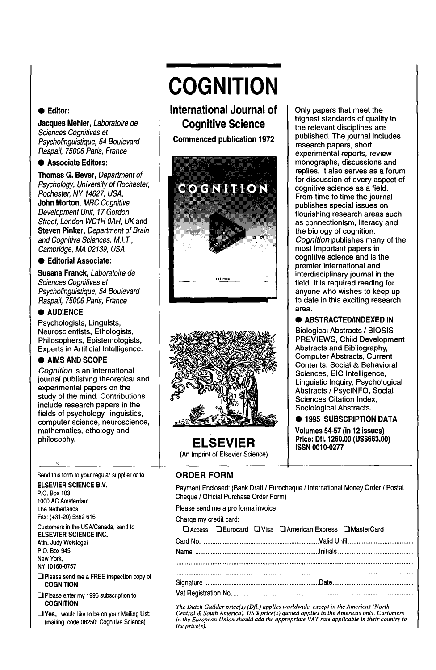#### **• Editor:**

**Jacques Mehler,** *Laboratoire de Sciences Cognitives et Psycho/inguistique, 54 Boulevard Raspail, 75006 Paris, France* 

#### **• Associate Editors:**

**Thomas G, Bever,** *Department of Psychology, University of Rochester, Rochester, NY 14627, USA,*  **John** Morton, *MRC Cognitive Development Unit, 17 Gordon Street, London WC1H OAH,* UKand **Steven Pinker,** *Department of Brain and Cognitive Sciences, M.I. T., Cambridge, MA 02139, USA* 

#### **• Editorial Associate:**

**Susana Franck,** *Laboratoire de Sciences Cognitives et Psycholinguistique, 54 Boulevard Raspail, 75006 Paris, France* 

#### **• AUDIENCE**

Psychologists, Linguists, *Neuroscientists,* Ethologists, Philosophers, Epistemologists, Experts in Artificial Intelligence.

#### **• AIMS AND SCOPE**

*Cognition* is an international journal publishing theoretical and experimental papers on the study of the mind. Contributions include research papers in the fields of psychology, linguistics, computer science, *neuroscience,*  mathematics, ethology and philosophy.

#### Send this form to your regular supplier or to

**ELSEVIER SCIENCE B.V.**  P.O. Box 103 1000 AC Amsterdam The Netherlands Fax: (+31-20) 5862 616

Customers in the USNCanada, send to **ELSEVIER SCIENCE INC.** 

Attn. Judy Weislogel P.O. Box 945 New York,

NY 10160-0757

- **Q** Please send me a FREE inspection copy of **COGNITION**
- Please enter my 1995 subscription to **COGNITION**
- $\Box$  Yes, I would like to be on your Mailing List: (mailing code 08250: Cognitive Science)

# **COGNITION**

**International Journal of Cognitive Science** 

**Commenced publication 1972** 





**ELSEVIER**  (An Imprint of Elsevier Science)

#### Only papers that meet the highest standards of quality in the relevant disciplines are published. The journal includes research papers, short experimental reports, review monographs, discussions and replies. It also serves as a forum for discussion of every aspect of cognitive science as a field. From time to time the journal publishes special issues on flourishing research areas such as connectionism, literacy and the biology of cognition. *Cognition* publishes many of the most important papers in cognitive science and is the premier international and interdisciplinary journal in the field. It is required reading for anyone who wishes to keep up to date in this exciting research area.

#### **• ABSTRACTED/INDEXED IN**

Biological Abstracts/BIOSIS PREVIEWS, Child Development Abstracts and Bibliography, Computer Abstracts, Current Contents: Social & Behavioral Sciences, EIC Intelligence, Linguistic Inquiry, Psychological Abstracts / PsycINFO, Social Sciences Citation Index, Sociological Abstracts.

#### **• 1995 SUBSCRIPTION DATA**

**Volumes 54-57 (in 12 issues) Price: Dfl. 1260.00 (US\$663.00) ISSN 0010-0277** 

#### **ORDER FORM**

Payment Enclosed: (Bank Draft / Eurocheque / International Money Order / Postal Cheque / Official Purchase Order Form)

Please send me a pro forma invoice

| Charge my credit card: |  |  |  |
|------------------------|--|--|--|
|------------------------|--|--|--|

|  |  | DAccess DEurocard DVisa DAmerican Express OMasterCard |  |
|--|--|-------------------------------------------------------|--|
|  |  |                                                       |  |
|  |  |                                                       |  |
|  |  |                                                       |  |
|  |  |                                                       |  |
|  |  |                                                       |  |
|  |  |                                                       |  |

The Dutch Guilder price(s) (Dfl.) applies worldwide, except in the Americas (North,<br>Central & South America). US \$ price(s) quoted applies in the Americas only. Customers<br>in the European Union should add the appropriate VA *the price(s).*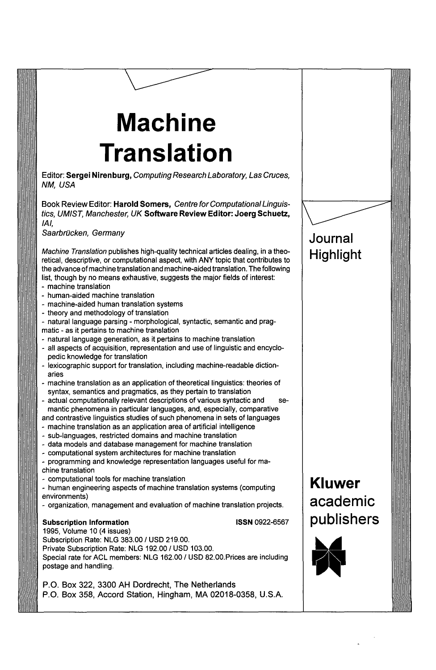# **Machine Translation**

Editor: Sergei Nirenburg, *Computing Research Laboratory, Las Cruces, NM, USA* 

Book Review Editor: **Harold Somers,** *Centre forComputationalLinguistics, UMIST, Manchester, UK* Software **Review Editor: Joerg** Schuetz, */A/,* 

*Saarbr~cken, Germany* 

*Machine Translation* publishes high-quality technical articles dealing, in a theoretical, descriptive, or computational aspect, with ANY topic that contributes to the advance of machine translation and machine-aided translation. The following list, though by no means exhaustive, suggests the major fields of interest:

- machine translation
- human-aided machine translation
- machine-aided human translation systems
- theory and methodology of translation

- natural language parsing - morphological, syntactic, semantic and pragmatic - as it pertains to machine translation

- natural language generation, as it pertains to machine translation
- all aspects of acquisition, representation and use of linguistic and encyclopedic knowledge for translation
- lexicographic support for translation, including machine-readable dictionaries
- machine translation as an application of theoretical linguistics: theories of syntax, semantics and pragmatics, as they pertain to translation
- actual computationally relevant descriptions of various syntactic and semantic phenomena in particular languages, and, especially, comparative and contrastive linguistics studies of such phenomena in sets of languages
- machine translation as an application area of artificial intelligence
- sub-languages, restricted domains and machine translation
- data models and database management for machine translation
- computational system architectures for machine translation

- programming and knowledge representation languages useful for machine translation

- computational tools for machine translation

- human engineering aspects of machine translation systems (computing environments)

**-** organization, management and evaluation of machine translation projects.

#### **Subscription Information** ISSN 0922-6567

1995, Volume 10 (4 issues) Subscription Rate: NLG 383.00 / USD 219.00. Private Subscription Rate: NLG 192.00 / USD 103.00. Special rate for ACL members: NLG 162.00 / USD 82.00.Prices are including postage and handling.

P.O. Box 322, 3300 AH Dordrecht, The Netherlands P.O. Box 358, Accord Station, Hingham, MA 02018-0358, U.S.A.

## **Journal Highlight**

**Kluwer** 

**academic** 

**publishers**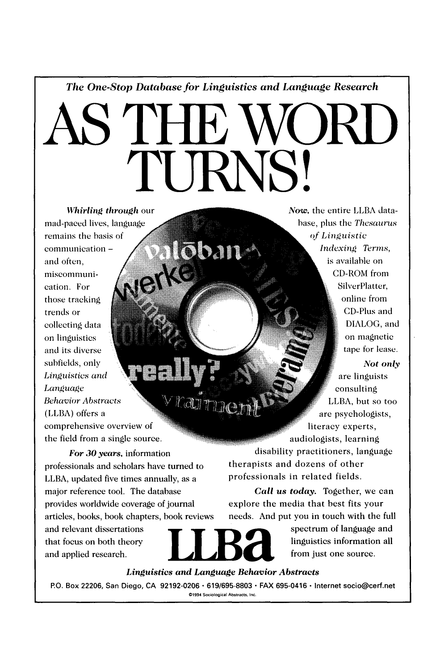*The One-Stop Database for Linguistics and Language Research* 

# **AS THE WORD**  I'I IKNS

ōban

 $r$ adi $\tau_{\rm mag}$ 

*Whirling through our* mad-paced lives remains the has communication and often, miscommunication. For those tracking trends or collecting data on linguistics and its diverse subfields, only *Linguistics and Language*  **Behavior Abstracts** (LLBA) offers a comprehensive overview of the field from a single source.

*For 30 years,* information professionals and scholars have turned to LLBA, updated five times annually, as a major reference tool. The database provides worldwide coverage of journal articles, books, book chapters, book reviews

Now, the entire LLBA database, plus the *Thesaurus* of Linguistic *Indexing Terms,* is available on D-ROM from SilverPlatter, online from CD-Plus and DIALOG, and on magnetic tape for lease.

*Not only*  are linguists onsulting LLBA, but so too are psychologists, literacy experts, audiologists, learning disability practitioners, language

therapists and dozens of other professionals in related fields.

*Call us today.* Together, we can explore the media that best fits your needs. And put you in touch with the full

that focus on both theory **LLE** linguistics information all and applied research.  $\blacksquare$   $\blacksquare$   $\blacksquare$  from just one source.

and relevant dissertations . The spectrum of language and

*Linguistics and Language Behavior Abstracts* 

**P.O. Box 22206, San Diego, CA 92192-0206 • 619/695-8803 • FAX 695-0416 • Internet socio@cerf.net**  ©1994 Sociological Abstracts, Inc.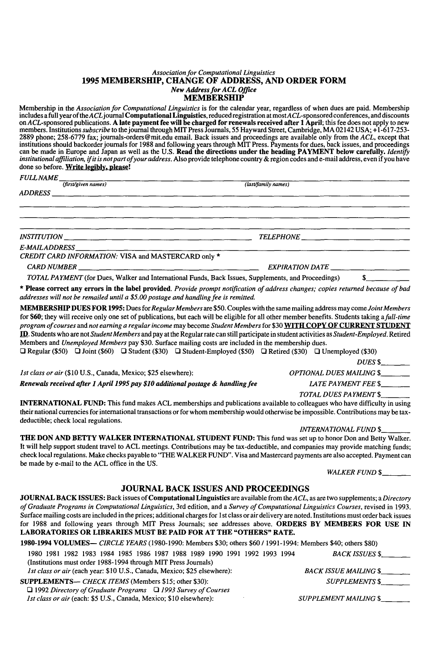#### *Association for Computational Linguistics*  **1995 MEMBERSHIP, CHANGE OF ADDRESS, AND ORDER FORM**  *New Address for ACL Office*  **MEMBERSHIP**

Membership in the *Association for Computational Linguistics* is for the calendar year, regardless of when dues are paid. Membership includes a full year of the ACL journal **Computational Linguistics**, reduced registration at most ACL-sponsored conferences, and discounts<br>on ACL-sponsored publications. **A late payment fee will be charged for renewals rec** members. Institutions subscribe to the journal through MIT Press Journals, 55 Hayward Street, Cambridge, MA 02142 USA; +1-617-253-<br>2889 phone; 258-6779 fax; journals-orders@mit.edu email. Back issues and proceedings are av can be made in Europe and Japan as well as the U.S. **Read the directions under the heading PAYMENT below** carefully, *Identify*  institutional affiliation, if it is not part of your address. Also provide telephone country & region codes and e-mail address, even if you have done so before. Write legibly, please!

| <i><b>FULL NAME</b></i> |
|-------------------------|
|                         |

| - - - - - - - - - - - -<br>(first/given names)      | (last/family names) |  |
|-----------------------------------------------------|---------------------|--|
|                                                     |                     |  |
|                                                     |                     |  |
|                                                     |                     |  |
|                                                     |                     |  |
| INSTITUTION                                         |                     |  |
|                                                     |                     |  |
| CREDIT CARD INFORMATION: VISA and MASTERCARD only * |                     |  |
|                                                     |                     |  |
| $CARD NUMBER$ $\qquad \qquad$                       |                     |  |

*TOTAL PAYMENT* (for Dues, Walker and International Funds, Back Issues, Supplements, and Proceedings) \$

• **Please correct any** errors in **the label provided.** *Provide prompt notification of address changes; copies returned because of bad addresses will not be remailed until a \$5.00 postage and handling fee is remitted.* 

**MEMBERSHIP DUES FOR 1995:** Dues for *Regular Members are* \$50. Couples with the same mailing address may come *Joint Members*  for 860; they will receive only one set of publications, but each will be eligible for all other member benefits. Students taking *a full-time program of courses* and *not earning a regular income* may become *Student Members* for \$30 **WITH** COPY OF **CURRENT STUDENT**  L!~. Students who are not *StudentMembers* and pay at the Regular rate can still participate in student activities as *Student-Employed.* Retired Members and *Unemployed Members* pay \$30. Surface mailing costs are included in the membership dues.

 $\Box$  Regular (\$50)  $\Box$  Joint (\$60)  $\Box$  Student (\$30)  $\Box$  Student-Employed (\$50)  $\Box$  Retired (\$30)  $\Box$  Unemployed (\$30)

*DUES \$\_\_* 

*1st class or air* (\$10 U.S., Canada, Mexico; \$25 elsewhere): *OPTIONAL DUES MAILING \$\_\_ Renewals received after 1 April 1995 pay \$10 additional postage & handling fee LA TE PAYMENT FEE \$\_\_* 

#### *TOTAL DUES PAYMENT \$*

**INTERNATIONAL** FUND: This fund makes ACL memberships and publications available to colleagues who have difficulty in using their national currencies for international transactions or for whom membership would otherwise be impossible. Contributions may be taxdeductible; check local regulations.

*INTERNATIONAL FUND \$\_\_*  THE **DON AND BETTY WALKER INTERNATIONAL STUDENT FUND:** This fund was set up to honor Don and Betty Walker. It will help support student travel to ACL meetings. Contributions may be tax-deductible, and companies may provide matching funds; check local regulations. Make checks payable to "THE WALKER FUND". Visa and Mastercard payments are also accepted. Payment can be made by e-mail to the ACL office in the US.

*WALKER FUND \$.\_\_* 

#### **JOURNAL BACK ISSUES AND PROCEEDINGS**

JOURNAL **BACK ISSUES:** Back issues of Computational Linguistics are available from the *A CL,* as are two supplements; a *Directory of Graduate Programs in Computational Linguistics,* 3rd edition, and a *Survey of Computational Linguistics Courses,* revised in 1993. Surface mailing costs are included in the prices; additional charges for 1 st class or air delivery are noted. Institutions must order back issues for 1988 and following years through MIT Press Journals; see addresses above. ORDERS BY **MEMBERS FOR USE IN LABORATORIES OR LIBRARIES MUST BE PAID FOR AT THE "OTHERS" RATE.** 

| 1980-1994 VOLUMES— CIRCLE YEARS (1980-1990: Members \$30; others \$60 / 1991-1994: Members \$40; others \$80) |                              |  |  |  |
|---------------------------------------------------------------------------------------------------------------|------------------------------|--|--|--|
| 1980 1981 1982 1983 1984 1985 1986 1987 1988 1989 1990 1991 1992 1993 1994                                    | BACK ISSUES \$_______        |  |  |  |
| (Institutions must order 1988-1994 through MIT Press Journals)                                                |                              |  |  |  |
| Ist class or air (each year: \$10 U.S., Canada, Mexico; \$25 elsewhere):                                      | BACK ISSUE MAILING \$        |  |  |  |
| <b>SUPPLEMENTS— CHECK ITEMS (Members \$15; other \$30):</b>                                                   | SUPPLEMENTS \$               |  |  |  |
| $\Box$ 1992 Directory of Graduate Programs $\Box$ 1993 Survey of Courses                                      |                              |  |  |  |
| <i>Ist class or air (each: \$5 U.S., Canada, Mexico: \$10 elsewhere):</i>                                     | <b>SUPPLEMENT MAILING \$</b> |  |  |  |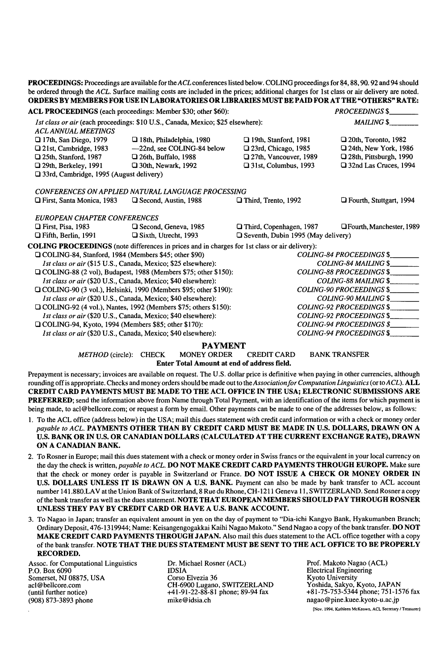PROCEEDINGS: Proceedings are available for the *ACL* conferences listed below. COLING proceedings for 84, 88, 90. 92 and 94 should be ordered through the *ACL.* Surface mailing costs are included in the prices; additional charges for 1st class or air delivery are noted. ORDERS BY MEMBERS FOR USE IN LABORATORIES OR LIBRARIES MUST BE PAID FOR AT THE "OTHERS" RATE: ACL PROCEEDINGS (each proceedings: Member \$30; other \$60): *PROCEEDINGS \$.\_\_ 1st class or air* (each proceedings: \$10 U.S., Canada, Mexico; \$25 elsewhere): *MAILING \$\_\_ A CL ANNUAL MEETINGS*  **a** 17th, San Diego, 1979 **a** 18th, Philadelphia, 1980 **a** 19th, Stanford, 1981 **a** 20th, Toronto, 1982 I:] 21st, Cambridge, 1983 --22nd, see COLING-84 below O 23rd, Chicago, 1985 O 24th, New York, 1986 O 25th, Stanford, 1987 O 26th, Buffalo, 1988 I:] 27th, Vancouver, 1989 [2] 28th, Pittsburgh, 1990  $\Box$  **29th, Berkeley, 1991**  $\Box$  30th, Newark, 1992  $\Box$  31st, Columbus, 1993  $\Box$  32nd Las Cruces, 1994 [ $\Box$  33rd, Cambridge, 1995 (August delivery) *CONFERENCES ON APPLIED NATURAL LANGUAGE PROCESSING*  17 First, Santa Monica, 1983 F) Second, Austin, 1988 D Third, Trento, 1992 O Fourth, Stuttgart, 1994 *EUROPEAN CHAPTER CONFERENCES*  [:l First, Pisa, 1983 12] Second, Geneva, 1985 17 Third, Copenhagen, 1987 O Fourth, Manchester, 1989  $\Box$  Fifth, Berlin, 1991  $\Box$  Sixth, Utrecht, 1993  $\Box$  Seventh, Dubin 1995 (May delivery) **COLING** PROCEEDINGS (note differences in prices and in charges for 1st class or air delivery): I-'l COLING-84, Stanford, 1984 (Members \$45; other \$90) *COLING-84 PROCEEDINGS \$\_\_ 1st class or air* (\$15 U.S., Canada, Mexico; \$25 elsewhere): *COLING-84 MAILING \$\_\_*  Q COLING-88 (2 vol), Budapest, 1988 (Members \$75; other \$150): *COLING-88 PROCEEDINGS \$\_\_ 1st class or air* (\$20 U.S., Canada, Mexico; \$40 elsewhere): *COLING-88 MAILING \$\_\_*  O COLING-90 (3 vol.), Helsinki, 1990 (Members \$95; other \$190): *COLING-90 PROCEEDINGS \$\_\_ 1st class or air* (\$20 U.S., Canada, Mexico; \$40 elsewhere): [J COLING-92 (4 vol.), Nantes, 1992 (Members \$75; others \$150): *COLING-92 PROCEEDINGS \$ 1st class or air* (\$20 U.S., Canada, Mexico; \$40 elsewhere): *COLING-92 PROCEEDINGS* \$ *COLING-94 PROCEEDINGS* \$ *COLING-94 PROCEEDINGS* \$ O COLING-94, Kyoto, 1994 (Members \$85; other \$170): *1st class or air* (\$20 U.S., Canada, Mexico; \$40 elsewhere): *COLING-94 PROCEEDINGS \$\_\_* 

**PAYMENT**<br>MONEY ORDER *METHOD* (circle): CHECK MONEY ORDER CREDIT CARD BANK TRANSFER

Enter Total Amount at end of address field.

Prepayment is necessary; invoices are available on request. The U.S. dollar price is definitive when paying in other currencies, although rounding offis appropriate. Checks and money orders should be made out to *theAssociationfor Computation Linguistics* (or *toACL).* **ALL**  CREDIT CARD PAYMENTS MUST BE MADE TO THE ACL OFFICE IN THE USA; ELECTRONIC SUBMISSIONS ARE PREFERRED; send the information above from Name through Total Payment, with an identification of the items for which payment is being made, to acl@bellcore.com; or request a form by email. Other payments can be made to one of the addresses below, as follows:

- 1. To the ACL office (address below) in the USA; mail this dues statement with credit card information or with a check or money order *payable to ACL.* PAYMENTS OTHER THAN BY CREDIT CARD MUST BE MADE IN U.S. DOLLARS, DRAWN ON A U,S. BANK OR IN U.S. OR CANADIAN DOLLARS (CALCULATED AT THE CURRENT EXCHANGE RATE), DRAWN ON A CANADIAN BANK.
- 2. To Rosner in Europe; mail this dues statement with a check or money order in Swiss francs or the equivalent in your local currency on the day the check is written, *payable to ACL.* DO NOT MAKE CREDIT CARD PAYMENTS THROUGH EUROPE. Make sure that the check or money order is payable in Switzerland or France. DO NOT ISSUE A CHECK OR MONEY ORDER IN U,S. DOLLARS UNLESS IT IS DRAWN ON A U.S. BANK. Payment can also be made by bank transfer to ACL account number 141.880.LAV at the Union Bank of Switzerland, 8 Rue du Rhone, CH-1211 Geneva 11, SWITZERLAND. Send Rosner a copy of the bank transfer as well as the dues statement. NOTE THAT EUROPEAN MEMBERS SHOULD PAY THROUGH ROSNER UNLESS THEY PAY BY CREDIT CARD OR HAVE A U.S. BANK ACCOUNT.
- 3. To Nagao in Japan; transfer an equivalent amount in yen on the day of payment to "Dia-ichi Kangyo Bank, Hyakumanben Branch; Ordinary Deposit, 476-1319944; Name: Keisangengogakkai Kaihi Nagao Makoto." Send Nagao a copy of the bank transfer. DO NOT MAKE CREDIT CARD PAYMENTS THROUGH JAPAN. Also mail this dues statement to the ACL office together with a copy of the bank transfer. NOTE THAT THE DUES STATEMENT MUST BE SENT TO THE ACL OFFICE TO BE PROPERLY RECORDED.

Assoc. for Computational Linguistics P.O. Box 6090 Somerset, NJ 08875, USA acl @ bellcore.com (until further notice) (908) 873-3893 phone

Dr. Michael Rosner (ACL) IDSIA Corso Elvezia 36 CH-6900 Lugano, SWITZERLAND +41-91-22-88-81 phone; 89-94 fax mike@idsia.ch

Prof. Makoto Nagao (ACL) Electrical Engineering Kyoto University Yoshida, Sakyo, Kyoto, JAPAN +81-75-753-5344 phone; 751-1576 fax nagao @ pine.kuee.kyoto-u.ac.jp

[Nov. 1994, Kathleen McKeown, ACL Secretary / Treasurer]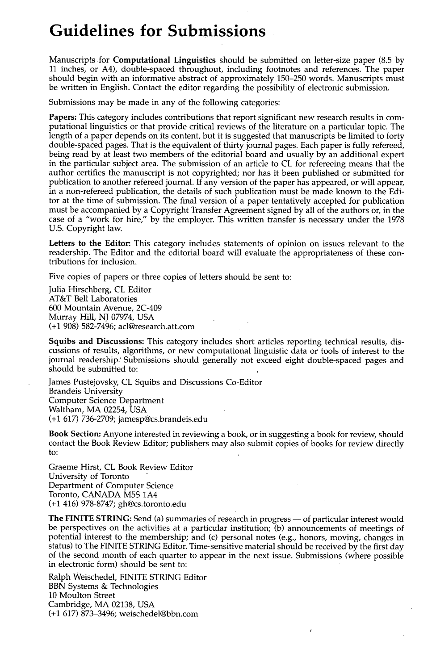# **Guidelines for Submissions**

Manuscripts for **Computational Linguistics** should be submitted on letter-size paper (8.5 by 11 inches, or A4), double-spaced throughout, including footnotes and references. The paper should begin with an informative abstract of approximately 150-250 words. Manuscripts must be written in English. Contact the editor regarding the possibility of electronic submission.

Submissions may be made in any of the following categories:

**Papers:** This category includes contributions that report significant new research results in computational linguistics or that provide critical reviews of the literature on a particular topic. The length of a paper depends on its content, but it is suggested that manuscripts be limited to forty double-spaced pages. That is the equivalent of thirty journal pages. Each paper is fully refereed, being read by at least two members of the editorial board and usually by an additional expert in the particular subject area. The submission of an article to CL for refereeing means that the author certifies the manuscript is not copyrighted; nor has it been published or submitted for publication to another refereed journal. If any version of the paper has appeared, or will appear, in a non-refereed publication, the details of such publication must be made known to the Editor at the time of submission. The final version of a paper tentatively accepted for publication must be accompanied by a Copyright Transfer Agreement signed by all of the authors or, in the case of a "work for hire," by the employer. This written transfer is necessary under the 1978 U.S. Copyright law.

**Letters to the Editor:** This category includes statements of opinion on issues relevant to the readership. The Editor and the editorial board will evaluate the appropriateness of these contributions for inclusion.

Five copies of papers or three copies of letters should be sent to:

Julia Hirschberg, CL Editor AT&T Bell Laboratories 600 Mountain Avenue, 2C-409 Murray Hill, NJ 07974, USA (+1 908) 582-7496; acl@research.att.com

**Squibs and Discussions:** This category includes short articles reporting technical results, discussions of results, algorithms, or new computational linguistic data or tools of interest to the journal readership.' Submissions should generally not exceed eight double-spaced pages and should be submitted to:

James Pustejovsky, CL Squibs and Discussions Co-Editor Brandeis University Computer Science Department Waltham, MA 02254, USA (+1 617) 736-2709; jamesp@cs.brandeis.edu

**Book Section:** Anyone interested in reviewing a book, or in suggesting a book for review, should contact the Book Review Editor; publishers may also submit copies of books for review directly to:

Graeme Hirst, CL Book Review Editor University of Toronto Department of Computer Science Toronto, CANADA M5S 1A4 (+1 416) 978-8747; gh@cs.toronto.edu

**The FINITE STRING:** Send (a) summaries of research in progress — of particular interest would be perspectives on the activities at a particular institution; (b) announcements of meetings of potential interest to the membership; and (c) personal notes (e.g., honors, moving, changes in status) to The FINITE STRING Editor. Time-sensitive material should be received by the first day of the second month of each quarter to appear in the next issue. Submissions (where possible in electronic form) should be sent to:

 $\lambda$ 

Ralph Weischedel, FINITE STRING Editor BBN Systems & Technologies 10 Moulton Street Cambridge, MA 02138, USA (+1 617) 873-3496; weischedel@bbn.com